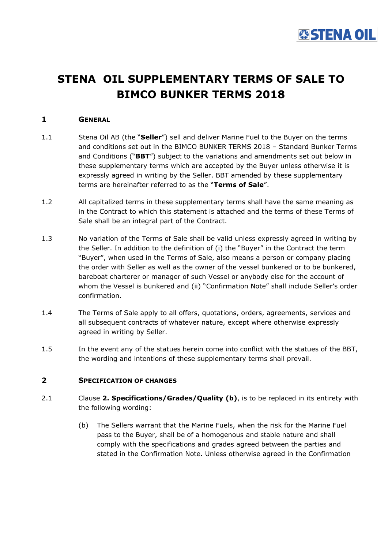

# **STENA OIL SUPPLEMENTARY TERMS OF SALE TO BIMCO BUNKER TERMS 2018**

# **1 GENERAL**

- 1.1 Stena Oil AB (the "**Seller**") sell and deliver Marine Fuel to the Buyer on the terms and conditions set out in the BIMCO BUNKER TERMS 2018 – Standard Bunker Terms and Conditions ("**BBT**") subject to the variations and amendments set out below in these supplementary terms which are accepted by the Buyer unless otherwise it is expressly agreed in writing by the Seller. BBT amended by these supplementary terms are hereinafter referred to as the "**Terms of Sale**".
- 1.2 All capitalized terms in these supplementary terms shall have the same meaning as in the Contract to which this statement is attached and the terms of these Terms of Sale shall be an integral part of the Contract.
- 1.3 No variation of the Terms of Sale shall be valid unless expressly agreed in writing by the Seller. In addition to the definition of (i) the "Buyer" in the Contract the term "Buyer", when used in the Terms of Sale, also means a person or company placing the order with Seller as well as the owner of the vessel bunkered or to be bunkered, bareboat charterer or manager of such Vessel or anybody else for the account of whom the Vessel is bunkered and (ii) "Confirmation Note" shall include Seller's order confirmation.
- 1.4 The Terms of Sale apply to all offers, quotations, orders, agreements, services and all subsequent contracts of whatever nature, except where otherwise expressly agreed in writing by Seller.
- 1.5 In the event any of the statues herein come into conflict with the statues of the BBT, the wording and intentions of these supplementary terms shall prevail.

# **2 SPECIFICATION OF CHANGES**

- 2.1 Clause **2. Specifications/Grades/Quality (b)**, is to be replaced in its entirety with the following wording:
	- (b) The Sellers warrant that the Marine Fuels, when the risk for the Marine Fuel pass to the Buyer, shall be of a homogenous and stable nature and shall comply with the specifications and grades agreed between the parties and stated in the Confirmation Note. Unless otherwise agreed in the Confirmation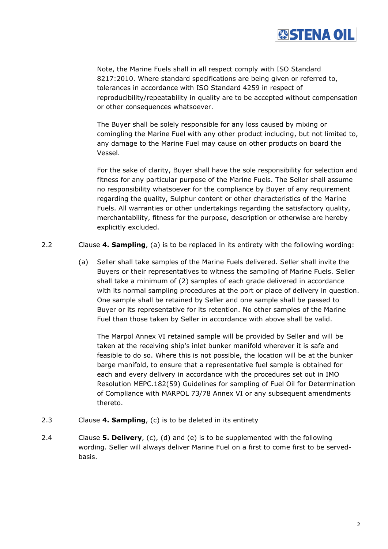

Note, the Marine Fuels shall in all respect comply with ISO Standard 8217:2010. Where standard specifications are being given or referred to, tolerances in accordance with ISO Standard 4259 in respect of reproducibility/repeatability in quality are to be accepted without compensation or other consequences whatsoever.

The Buyer shall be solely responsible for any loss caused by mixing or comingling the Marine Fuel with any other product including, but not limited to, any damage to the Marine Fuel may cause on other products on board the Vessel.

For the sake of clarity, Buyer shall have the sole responsibility for selection and fitness for any particular purpose of the Marine Fuels. The Seller shall assume no responsibility whatsoever for the compliance by Buyer of any requirement regarding the quality, Sulphur content or other characteristics of the Marine Fuels. All warranties or other undertakings regarding the satisfactory quality, merchantability, fitness for the purpose, description or otherwise are hereby explicitly excluded.

2.2 Clause **4. Sampling**, (a) is to be replaced in its entirety with the following wording:

(a) Seller shall take samples of the Marine Fuels delivered. Seller shall invite the Buyers or their representatives to witness the sampling of Marine Fuels. Seller shall take a minimum of (2) samples of each grade delivered in accordance with its normal sampling procedures at the port or place of delivery in question. One sample shall be retained by Seller and one sample shall be passed to Buyer or its representative for its retention. No other samples of the Marine Fuel than those taken by Seller in accordance with above shall be valid.

The Marpol Annex VI retained sample will be provided by Seller and will be taken at the receiving ship's inlet bunker manifold wherever it is safe and feasible to do so. Where this is not possible, the location will be at the bunker barge manifold, to ensure that a representative fuel sample is obtained for each and every delivery in accordance with the procedures set out in IMO Resolution MEPC.182(59) Guidelines for sampling of Fuel Oil for Determination of Compliance with MARPOL 73/78 Annex VI or any subsequent amendments thereto.

- 2.3 Clause **4. Sampling**, (c) is to be deleted in its entirety
- 2.4 Clause **5. Delivery**, (c), (d) and (e) is to be supplemented with the following wording. Seller will always deliver Marine Fuel on a first to come first to be servedbasis.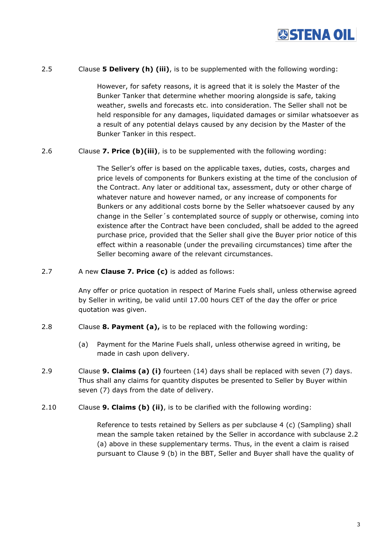

## 2.5 Clause **5 Delivery (h) (iii)**, is to be supplemented with the following wording:

However, for safety reasons, it is agreed that it is solely the Master of the Bunker Tanker that determine whether mooring alongside is safe, taking weather, swells and forecasts etc. into consideration. The Seller shall not be held responsible for any damages, liquidated damages or similar whatsoever as a result of any potential delays caused by any decision by the Master of the Bunker Tanker in this respect.

## 2.6 Clause **7. Price (b)(iii)**, is to be supplemented with the following wording:

The Seller's offer is based on the applicable taxes, duties, costs, charges and price levels of components for Bunkers existing at the time of the conclusion of the Contract. Any later or additional tax, assessment, duty or other charge of whatever nature and however named, or any increase of components for Bunkers or any additional costs borne by the Seller whatsoever caused by any change in the Seller´s contemplated source of supply or otherwise, coming into existence after the Contract have been concluded, shall be added to the agreed purchase price, provided that the Seller shall give the Buyer prior notice of this effect within a reasonable (under the prevailing circumstances) time after the Seller becoming aware of the relevant circumstances.

#### 2.7 A new **Clause 7. Price (c)** is added as follows:

Any offer or price quotation in respect of Marine Fuels shall, unless otherwise agreed by Seller in writing, be valid until 17.00 hours CET of the day the offer or price quotation was given.

#### 2.8 Clause **8. Payment (a),** is to be replaced with the following wording:

- (a) Payment for the Marine Fuels shall, unless otherwise agreed in writing, be made in cash upon delivery.
- 2.9 Clause **9. Claims (a) (i)** fourteen (14) days shall be replaced with seven (7) days. Thus shall any claims for quantity disputes be presented to Seller by Buyer within seven (7) days from the date of delivery.
- 2.10 Clause **9. Claims (b) (ii)**, is to be clarified with the following wording:

Reference to tests retained by Sellers as per subclause 4 (c) (Sampling) shall mean the sample taken retained by the Seller in accordance with subclause 2.2 (a) above in these supplementary terms. Thus, in the event a claim is raised pursuant to Clause 9 (b) in the BBT, Seller and Buyer shall have the quality of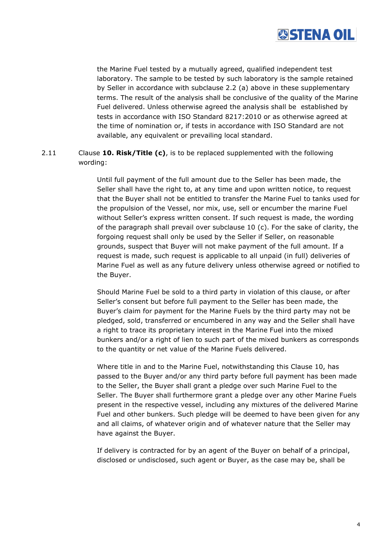

the Marine Fuel tested by a mutually agreed, qualified independent test laboratory. The sample to be tested by such laboratory is the sample retained by Seller in accordance with subclause 2.2 (a) above in these supplementary terms. The result of the analysis shall be conclusive of the quality of the Marine Fuel delivered. Unless otherwise agreed the analysis shall be established by tests in accordance with ISO Standard 8217:2010 or as otherwise agreed at the time of nomination or, if tests in accordance with ISO Standard are not available, any equivalent or prevailing local standard.

2.11 Clause **10. Risk/Title (c)**, is to be replaced supplemented with the following wording:

> Until full payment of the full amount due to the Seller has been made, the Seller shall have the right to, at any time and upon written notice, to request that the Buyer shall not be entitled to transfer the Marine Fuel to tanks used for the propulsion of the Vessel, nor mix, use, sell or encumber the marine Fuel without Seller's express written consent. If such request is made, the wording of the paragraph shall prevail over subclause 10 (c). For the sake of clarity, the forgoing request shall only be used by the Seller if Seller, on reasonable grounds, suspect that Buyer will not make payment of the full amount. If a request is made, such request is applicable to all unpaid (in full) deliveries of Marine Fuel as well as any future delivery unless otherwise agreed or notified to the Buyer.

> Should Marine Fuel be sold to a third party in violation of this clause, or after Seller's consent but before full payment to the Seller has been made, the Buyer's claim for payment for the Marine Fuels by the third party may not be pledged, sold, transferred or encumbered in any way and the Seller shall have a right to trace its proprietary interest in the Marine Fuel into the mixed bunkers and/or a right of lien to such part of the mixed bunkers as corresponds to the quantity or net value of the Marine Fuels delivered.

> Where title in and to the Marine Fuel, notwithstanding this Clause 10, has passed to the Buyer and/or any third party before full payment has been made to the Seller, the Buyer shall grant a pledge over such Marine Fuel to the Seller. The Buyer shall furthermore grant a pledge over any other Marine Fuels present in the respective vessel, including any mixtures of the delivered Marine Fuel and other bunkers. Such pledge will be deemed to have been given for any and all claims, of whatever origin and of whatever nature that the Seller may have against the Buyer.

If delivery is contracted for by an agent of the Buyer on behalf of a principal, disclosed or undisclosed, such agent or Buyer, as the case may be, shall be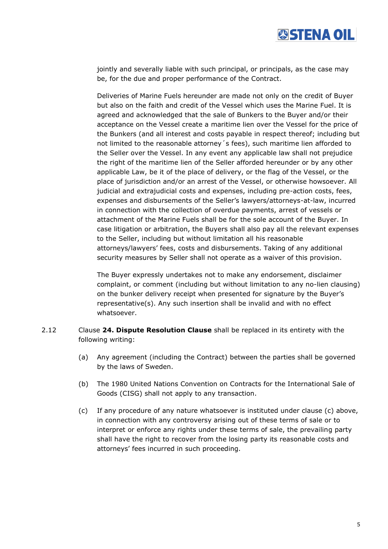

jointly and severally liable with such principal, or principals, as the case may be, for the due and proper performance of the Contract.

Deliveries of Marine Fuels hereunder are made not only on the credit of Buyer but also on the faith and credit of the Vessel which uses the Marine Fuel. It is agreed and acknowledged that the sale of Bunkers to the Buyer and/or their acceptance on the Vessel create a maritime lien over the Vessel for the price of the Bunkers (and all interest and costs payable in respect thereof; including but not limited to the reasonable attorney´s fees), such maritime lien afforded to the Seller over the Vessel. In any event any applicable law shall not prejudice the right of the maritime lien of the Seller afforded hereunder or by any other applicable Law, be it of the place of delivery, or the flag of the Vessel, or the place of jurisdiction and/or an arrest of the Vessel, or otherwise howsoever. All judicial and extrajudicial costs and expenses, including pre-action costs, fees, expenses and disbursements of the Seller's lawyers/attorneys-at-law, incurred in connection with the collection of overdue payments, arrest of vessels or attachment of the Marine Fuels shall be for the sole account of the Buyer. In case litigation or arbitration, the Buyers shall also pay all the relevant expenses to the Seller, including but without limitation all his reasonable attorneys/lawyers' fees, costs and disbursements. Taking of any additional security measures by Seller shall not operate as a waiver of this provision.

The Buyer expressly undertakes not to make any endorsement, disclaimer complaint, or comment (including but without limitation to any no-lien clausing) on the bunker delivery receipt when presented for signature by the Buyer's representative(s). Any such insertion shall be invalid and with no effect whatsoever.

- 2.12 Clause **24. Dispute Resolution Clause** shall be replaced in its entirety with the following writing:
	- (a) Any agreement (including the Contract) between the parties shall be governed by the laws of Sweden.
	- (b) The 1980 United Nations Convention on Contracts for the International Sale of Goods (CISG) shall not apply to any transaction.
	- (c) If any procedure of any nature whatsoever is instituted under clause (c) above, in connection with any controversy arising out of these terms of sale or to interpret or enforce any rights under these terms of sale, the prevailing party shall have the right to recover from the losing party its reasonable costs and attorneys' fees incurred in such proceeding.